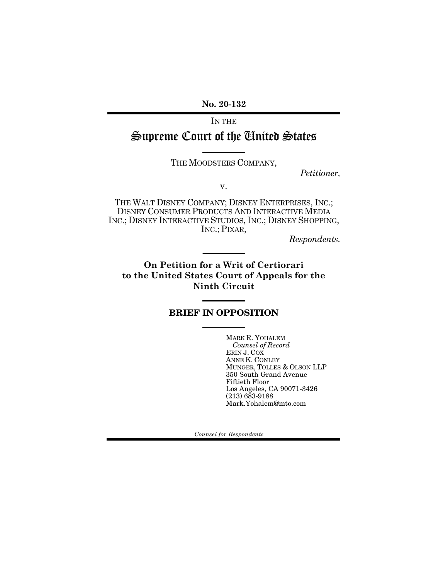**No. 20-132**

IN THE Supreme Court of the United States

THE MOODSTERS COMPANY,

*Petitioner,*

v.

THE WALT DISNEY COMPANY; DISNEY ENTERPRISES, INC.; DISNEY CONSUMER PRODUCTS AND INTERACTIVE MEDIA INC.; DISNEY INTERACTIVE STUDIOS, INC.; DISNEY SHOPPING, INC.; PIXAR,

*Respondents.*

**On Petition for a Writ of Certiorari to the United States Court of Appeals for the Ninth Circuit** 

## BRIEF IN OPPOSITION

MARK R. YOHALEM *Counsel of Record* ERIN J. COX ANNE K. CONLEY MUNGER, TOLLES & OLSON LLP 350 South Grand Avenue Fiftieth Floor Los Angeles, CA 90071-3426  $(213)$  683-9188 Mark.Yohalem@mto.com

*Counsel for Respondents*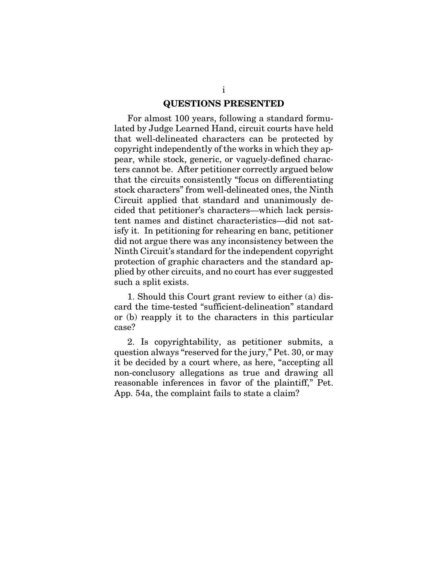#### QUESTIONS PRESENTED

For almost 100 years, following a standard formulated by Judge Learned Hand, circuit courts have held that well-delineated characters can be protected by copyright independently of the works in which they appear, while stock, generic, or vaguely-defined characters cannot be. After petitioner correctly argued below that the circuits consistently "focus on differentiating stock characters" from well-delineated ones, the Ninth Circuit applied that standard and unanimously decided that petitioner's characters—which lack persistent names and distinct characteristics—did not satisfy it. In petitioning for rehearing en banc, petitioner did not argue there was any inconsistency between the Ninth Circuit's standard for the independent copyright protection of graphic characters and the standard applied by other circuits, and no court has ever suggested such a split exists.

1. Should this Court grant review to either (a) discard the time-tested "sufficient-delineation" standard or (b) reapply it to the characters in this particular case?

2. Is copyrightability, as petitioner submits, a question always "reserved for the jury," Pet. 30, or may it be decided by a court where, as here, "accepting all non-conclusory allegations as true and drawing all reasonable inferences in favor of the plaintiff," Pet. App. 54a, the complaint fails to state a claim?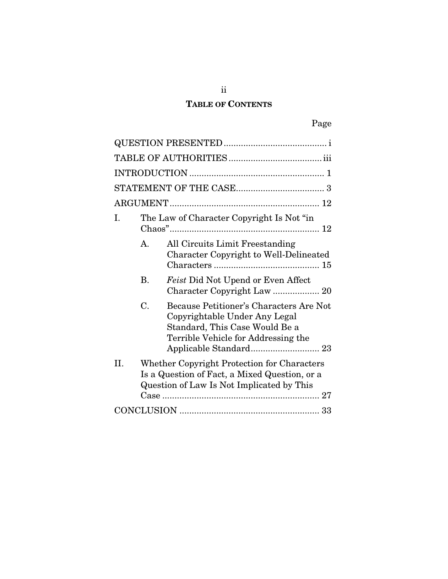# TABLE OF CONTENTS

| I. | The Law of Character Copyright Is Not "in" |                                                                                                                                                   |  |  |  |
|----|--------------------------------------------|---------------------------------------------------------------------------------------------------------------------------------------------------|--|--|--|
|    | $\mathbf{A}$ .                             | All Circuits Limit Freestanding<br>Character Copyright to Well-Delineated                                                                         |  |  |  |
|    | $\mathbf{B}$ .                             | Feist Did Not Upend or Even Affect                                                                                                                |  |  |  |
|    | C.                                         | Because Petitioner's Characters Are Not<br>Copyrightable Under Any Legal<br>Standard, This Case Would Be a<br>Terrible Vehicle for Addressing the |  |  |  |
| H. |                                            | Whether Copyright Protection for Characters<br>Is a Question of Fact, a Mixed Question, or a<br>Question of Law Is Not Implicated by This         |  |  |  |
|    |                                            |                                                                                                                                                   |  |  |  |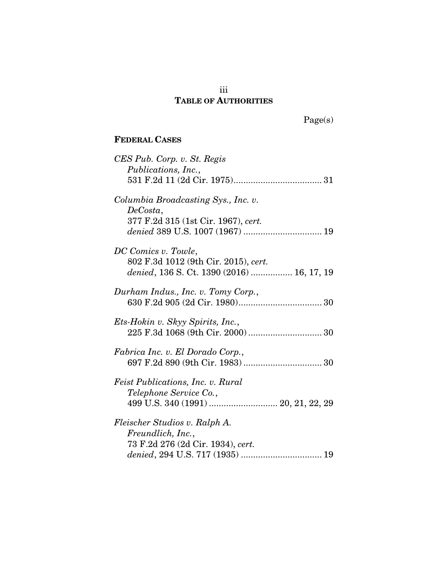## iii TABLE OF AUTHORITIES

Page(s)

## FEDERAL CASES

| CES Pub. Corp. v. St. Regis<br>Publications, Inc.,                                     |
|----------------------------------------------------------------------------------------|
| Columbia Broadcasting Sys., Inc. v.<br>DeCosta,<br>377 F.2d 315 (1st Cir. 1967), cert. |
|                                                                                        |
| DC Comics v. Towle,                                                                    |
| 802 F.3d 1012 (9th Cir. 2015), cert.<br>denied, 136 S. Ct. 1390 (2016)  16, 17, 19     |
| Durham Indus., Inc. v. Tomy Corp.,                                                     |
| Ets-Hokin v. Skyy Spirits, Inc.,                                                       |
| Fabrica Inc. v. El Dorado Corp.,                                                       |
| <i>Feist Publications, Inc. v. Rural</i><br>Telephone Service Co.,                     |
| 499 U.S. 340 (1991)  20, 21, 22, 29                                                    |
| Fleischer Studios v. Ralph A.                                                          |
| Freundlich, Inc.,<br>73 F.2d 276 (2d Cir. 1934), cert.                                 |
|                                                                                        |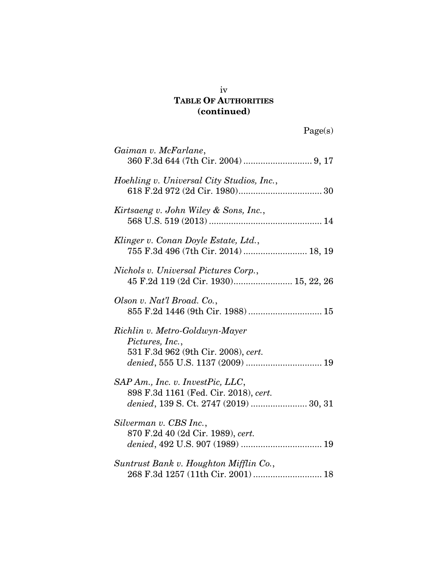## TABLE OF AUTHORITIES (continued)

| Gaiman v. McFarlane,                                                                                                         |
|------------------------------------------------------------------------------------------------------------------------------|
| Hoehling v. Universal City Studios, Inc.,                                                                                    |
| Kirtsaeng v. John Wiley & Sons, Inc.,                                                                                        |
| Klinger v. Conan Doyle Estate, Ltd.,<br>755 F.3d 496 (7th Cir. 2014)  18, 19                                                 |
| Nichols v. Universal Pictures Corp.,<br>45 F.2d 119 (2d Cir. 1930) 15, 22, 26                                                |
| Olson v. Nat'l Broad. Co.,<br>855 F.2d 1446 (9th Cir. 1988)  15                                                              |
| Richlin v. Metro-Goldwyn-Mayer<br>Pictures, Inc.,<br>531 F.3d 962 (9th Cir. 2008), cert.<br>denied, 555 U.S. 1137 (2009)  19 |
| SAP Am., Inc. v. InvestPic, LLC,<br>898 F.3d 1161 (Fed. Cir. 2018), cert.<br>denied, 139 S. Ct. 2747 (2019)  30, 31          |
| Silverman v. CBS Inc.,<br>870 F.2d 40 (2d Cir. 1989), cert.                                                                  |
| Suntrust Bank v. Houghton Mifflin Co.,<br>268 F.3d 1257 (11th Cir. 2001)  18                                                 |

iv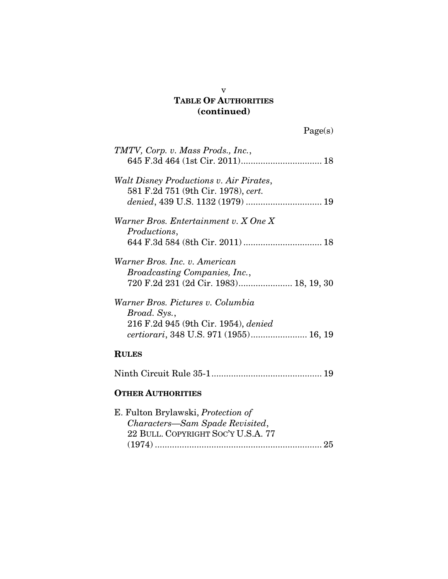## TABLE OF AUTHORITIES (continued)

| TMTV, Corp. v. Mass Prods., Inc.,                                                                        |
|----------------------------------------------------------------------------------------------------------|
|                                                                                                          |
| Walt Disney Productions v. Air Pirates,<br>581 F.2d 751 (9th Cir. 1978), cert.                           |
| Warner Bros. Entertainment v. X One X                                                                    |
| Productions,                                                                                             |
| 644 F.3d 584 (8th Cir. 2011)  18                                                                         |
| Warner Bros. Inc. v. American<br>Broadcasting Companies, Inc.,<br>720 F.2d 231 (2d Cir. 1983) 18, 19, 30 |
| Warner Bros. Pictures v. Columbia                                                                        |
| Broad. Sys.,                                                                                             |
| 216 F.2d 945 (9th Cir. 1954), denied                                                                     |
| <i>certiorari</i> , 348 U.S. 971 (1955) 16, 19                                                           |
| <b>RULES</b>                                                                                             |
|                                                                                                          |
| <b>OTHER AUTHORITIES</b>                                                                                 |
| E. Fulton Brylawski, <i>Protection of</i>                                                                |

| E. Fulton Brylawski, <i>Protection of</i> |  |
|-------------------------------------------|--|
| Characters-Sam Spade Revisited,           |  |
| 22 BULL. COPYRIGHT SOC'Y U.S.A. 77        |  |
|                                           |  |
|                                           |  |

v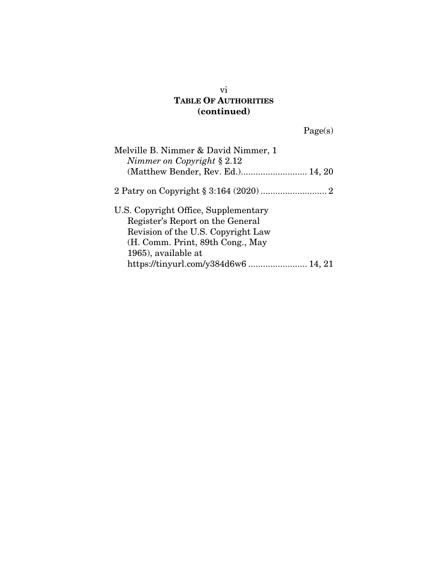## TABLE OF AUTHORITIES (continued)

Page(s)

vi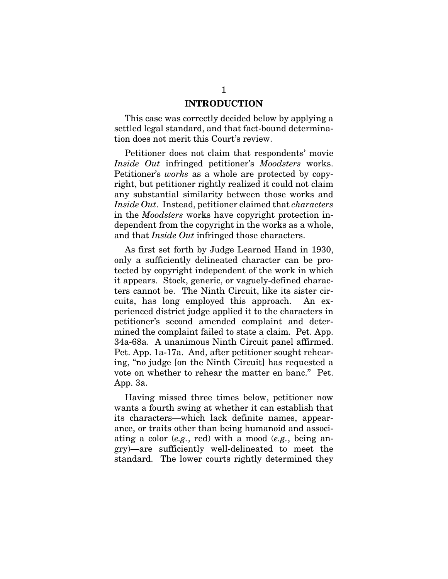#### INTRODUCTION

This case was correctly decided below by applying a settled legal standard, and that fact-bound determination does not merit this Court's review.

Petitioner does not claim that respondents' movie *Inside Out* infringed petitioner's *Moodsters* works. Petitioner's *works* as a whole are protected by copyright, but petitioner rightly realized it could not claim any substantial similarity between those works and *Inside Out*. Instead, petitioner claimed that *characters* in the *Moodsters* works have copyright protection independent from the copyright in the works as a whole, and that *Inside Out* infringed those characters.

As first set forth by Judge Learned Hand in 1930, only a sufficiently delineated character can be protected by copyright independent of the work in which it appears. Stock, generic, or vaguely-defined characters cannot be. The Ninth Circuit, like its sister circuits, has long employed this approach. An experienced district judge applied it to the characters in petitioner's second amended complaint and determined the complaint failed to state a claim. Pet. App. 34a-68a. A unanimous Ninth Circuit panel affirmed. Pet. App. 1a-17a. And, after petitioner sought rehearing, "no judge [on the Ninth Circuit] has requested a vote on whether to rehear the matter en banc." Pet. App. 3a.

Having missed three times below, petitioner now wants a fourth swing at whether it can establish that its characters—which lack definite names, appearance, or traits other than being humanoid and associating a color (*e.g.*, red) with a mood (*e.g.*, being angry)—are sufficiently well-delineated to meet the standard. The lower courts rightly determined they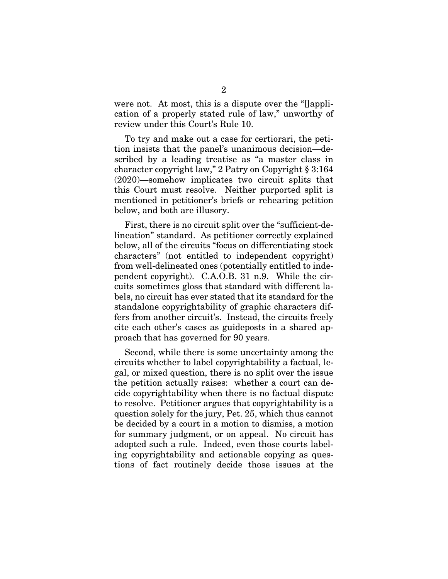were not. At most, this is a dispute over the "[]application of a properly stated rule of law," unworthy of review under this Court's Rule 10.

To try and make out a case for certiorari, the petition insists that the panel's unanimous decision—described by a leading treatise as "a master class in character copyright law," 2 Patry on Copyright § 3:164 (2020)—somehow implicates two circuit splits that this Court must resolve. Neither purported split is mentioned in petitioner's briefs or rehearing petition below, and both are illusory.

First, there is no circuit split over the "sufficient-delineation" standard. As petitioner correctly explained below, all of the circuits "focus on differentiating stock characters" (not entitled to independent copyright) from well-delineated ones (potentially entitled to independent copyright). C.A.O.B. 31 n.9. While the circuits sometimes gloss that standard with different labels, no circuit has ever stated that its standard for the standalone copyrightability of graphic characters differs from another circuit's. Instead, the circuits freely cite each other's cases as guideposts in a shared approach that has governed for 90 years.

Second, while there is some uncertainty among the circuits whether to label copyrightability a factual, legal, or mixed question, there is no split over the issue the petition actually raises: whether a court can decide copyrightability when there is no factual dispute to resolve. Petitioner argues that copyrightability is a question solely for the jury, Pet. 25, which thus cannot be decided by a court in a motion to dismiss, a motion for summary judgment, or on appeal. No circuit has adopted such a rule. Indeed, even those courts labeling copyrightability and actionable copying as questions of fact routinely decide those issues at the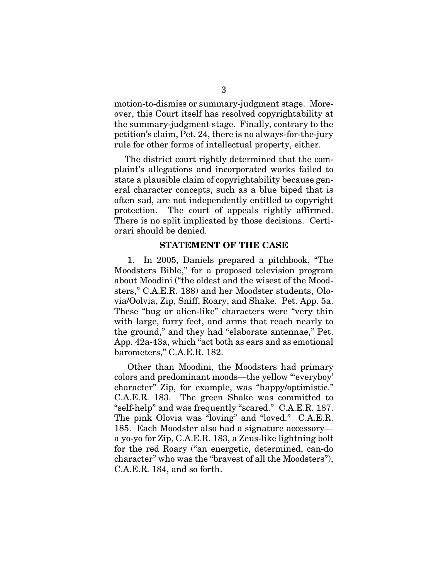motion-to-dismiss or summary-judgment stage. Moreover, this Court itself has resolved copyrightability at the summary-judgment stage. Finally, contrary to the petition's claim, Pet. 24, there is no always-for-the-jury rule for other forms of intellectual property, either.

The district court rightly determined that the complaint's allegations and incorporated works failed to state a plausible claim of copyrightability because general character concepts, such as a blue biped that is often sad, are not independently entitled to copyright protection. The court of appeals rightly affirmed. There is no split implicated by those decisions. Certiorari should be denied.

#### STATEMENT OF THE CASE

1. In 2005, Daniels prepared a pitchbook, "The Moodsters Bible," for a proposed television program about Moodini ("the oldest and the wisest of the Moodsters," C.A.E.R. 188) and her Moodster students, Olovia/Oolvia, Zip, Sniff, Roary, and Shake. Pet. App. 5a. These "bug or alien-like" characters were "very thin with large, furry feet, and arms that reach nearly to the ground," and they had "elaborate antennae," Pet. App. 42a-43a, which "act both as ears and as emotional barometers," C.A.E.R. 182.

Other than Moodini, the Moodsters had primary colors and predominant moods—the yellow "'everyboy' character" Zip, for example, was "happy/optimistic." C.A.E.R. 183. The green Shake was committed to "self-help" and was frequently "scared." C.A.E.R. 187. The pink Olovia was "loving" and "loved." C.A.E.R. 185. Each Moodster also had a signature accessory a yo-yo for Zip, C.A.E.R. 183, a Zeus-like lightning bolt for the red Roary ("an energetic, determined, can-do character" who was the "bravest of all the Moodsters"), C.A.E.R. 184, and so forth.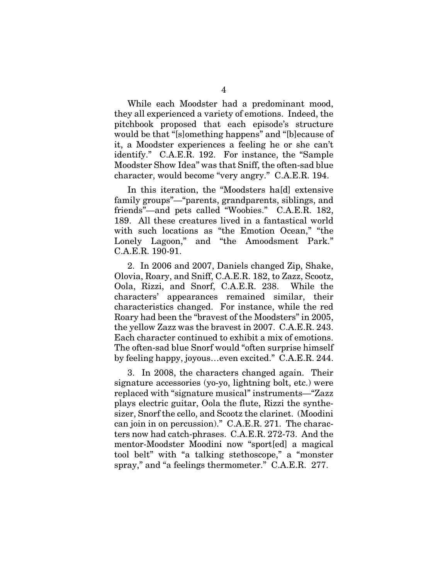While each Moodster had a predominant mood, they all experienced a variety of emotions. Indeed, the pitchbook proposed that each episode's structure would be that "[s]omething happens" and "[b]ecause of it, a Moodster experiences a feeling he or she can't identify." C.A.E.R. 192. For instance, the "Sample Moodster Show Idea" was that Sniff, the often-sad blue character, would become "very angry." C.A.E.R. 194.

In this iteration, the "Moodsters ha[d] extensive family groups"—"parents, grandparents, siblings, and friends"—and pets called "Woobies." C.A.E.R. 182, 189. All these creatures lived in a fantastical world with such locations as "the Emotion Ocean," "the Lonely Lagoon," and "the Amoodsment Park." C.A.E.R. 190-91.

2. In 2006 and 2007, Daniels changed Zip, Shake, Olovia, Roary, and Sniff, C.A.E.R. 182, to Zazz, Scootz, Oola, Rizzi, and Snorf, C.A.E.R. 238. While the characters' appearances remained similar, their characteristics changed. For instance, while the red Roary had been the "bravest of the Moodsters" in 2005, the yellow Zazz was the bravest in 2007. C.A.E.R. 243. Each character continued to exhibit a mix of emotions. The often-sad blue Snorf would "often surprise himself by feeling happy, joyous…even excited." C.A.E.R. 244.

3. In 2008, the characters changed again. Their signature accessories (yo-yo, lightning bolt, etc.) were replaced with "signature musical" instruments—"Zazz plays electric guitar, Oola the flute, Rizzi the synthesizer, Snorf the cello, and Scootz the clarinet. (Moodini can join in on percussion)." C.A.E.R. 271. The characters now had catch-phrases. C.A.E.R. 272-73. And the mentor-Moodster Moodini now "sport[ed] a magical tool belt" with "a talking stethoscope," a "monster spray," and "a feelings thermometer." C.A.E.R. 277.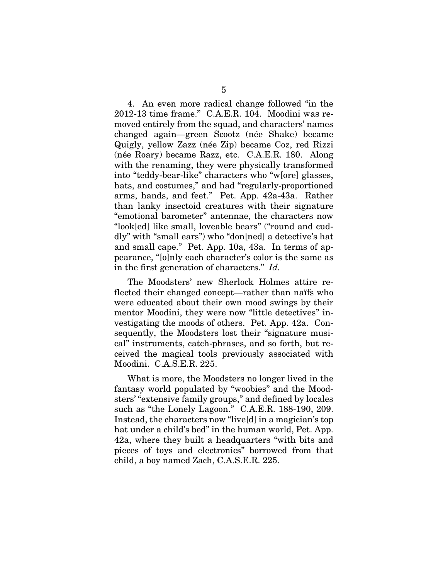4. An even more radical change followed "in the 2012-13 time frame." C.A.E.R. 104. Moodini was removed entirely from the squad, and characters' names changed again—green Scootz (née Shake) became Quigly, yellow Zazz (née Zip) became Coz, red Rizzi (née Roary) became Razz, etc. C.A.E.R. 180. Along with the renaming, they were physically transformed into "teddy-bear-like" characters who "w[ore] glasses, hats, and costumes," and had "regularly-proportioned arms, hands, and feet." Pet. App. 42a-43a. Rather than lanky insectoid creatures with their signature "emotional barometer" antennae, the characters now "look[ed] like small, loveable bears" ("round and cuddly" with "small ears") who "don[ned] a detective's hat and small cape." Pet. App. 10a, 43a. In terms of appearance, "[o]nly each character's color is the same as in the first generation of characters." *Id.*

The Moodsters' new Sherlock Holmes attire reflected their changed concept—rather than naïfs who were educated about their own mood swings by their mentor Moodini, they were now "little detectives" investigating the moods of others. Pet. App. 42a. Consequently, the Moodsters lost their "signature musical" instruments, catch-phrases, and so forth, but received the magical tools previously associated with Moodini. C.A.S.E.R. 225.

What is more, the Moodsters no longer lived in the fantasy world populated by "woobies" and the Moodsters' "extensive family groups," and defined by locales such as "the Lonely Lagoon." C.A.E.R. 188-190, 209. Instead, the characters now "live[d] in a magician's top hat under a child's bed" in the human world, Pet. App. 42a, where they built a headquarters "with bits and pieces of toys and electronics" borrowed from that child, a boy named Zach, C.A.S.E.R. 225.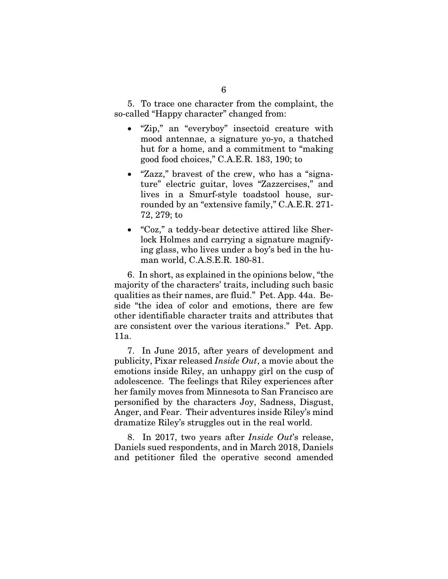5. To trace one character from the complaint, the so-called "Happy character" changed from:

- "Zip," an "everyboy" insectoid creature with mood antennae, a signature yo-yo, a thatched hut for a home, and a commitment to "making good food choices," C.A.E.R. 183, 190; to
- "Zazz," bravest of the crew, who has a "signature" electric guitar, loves "Zazzercises," and lives in a Smurf-style toadstool house, surrounded by an "extensive family," C.A.E.R. 271- 72, 279; to
- "Coz," a teddy-bear detective attired like Sherlock Holmes and carrying a signature magnifying glass, who lives under a boy's bed in the human world, C.A.S.E.R. 180-81.

6. In short, as explained in the opinions below, "the majority of the characters' traits, including such basic qualities as their names, are fluid." Pet. App. 44a. Beside "the idea of color and emotions, there are few other identifiable character traits and attributes that are consistent over the various iterations." Pet. App. 11a.

7. In June 2015, after years of development and publicity, Pixar released *Inside Out*, a movie about the emotions inside Riley, an unhappy girl on the cusp of adolescence. The feelings that Riley experiences after her family moves from Minnesota to San Francisco are personified by the characters Joy, Sadness, Disgust, Anger, and Fear. Their adventures inside Riley's mind dramatize Riley's struggles out in the real world.

8. In 2017, two years after *Inside Out*'s release, Daniels sued respondents, and in March 2018, Daniels and petitioner filed the operative second amended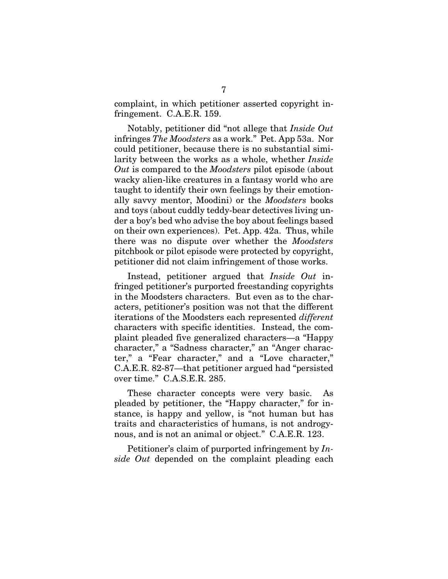complaint, in which petitioner asserted copyright infringement. C.A.E.R. 159.

Notably, petitioner did "not allege that *Inside Out* infringes *The Moodsters* as a work." Pet. App 53a. Nor could petitioner, because there is no substantial similarity between the works as a whole, whether *Inside Out* is compared to the *Moodsters* pilot episode (about wacky alien-like creatures in a fantasy world who are taught to identify their own feelings by their emotionally savvy mentor, Moodini) or the *Moodsters* books and toys (about cuddly teddy-bear detectives living under a boy's bed who advise the boy about feelings based on their own experiences). Pet. App. 42a. Thus, while there was no dispute over whether the *Moodsters* pitchbook or pilot episode were protected by copyright, petitioner did not claim infringement of those works.

Instead, petitioner argued that *Inside Out* infringed petitioner's purported freestanding copyrights in the Moodsters characters. But even as to the characters, petitioner's position was not that the different iterations of the Moodsters each represented *different* characters with specific identities. Instead, the complaint pleaded five generalized characters—a "Happy character," a "Sadness character," an "Anger character," a "Fear character," and a "Love character," C.A.E.R. 82-87—that petitioner argued had "persisted over time." C.A.S.E.R. 285.

These character concepts were very basic. As pleaded by petitioner, the "Happy character," for instance, is happy and yellow, is "not human but has traits and characteristics of humans, is not androgynous, and is not an animal or object." C.A.E.R. 123.

Petitioner's claim of purported infringement by *Inside Out* depended on the complaint pleading each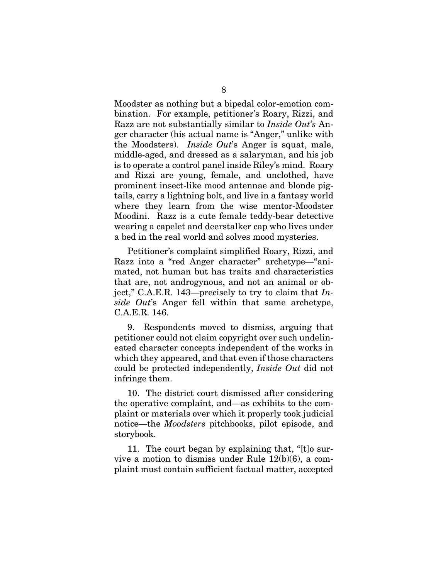Moodster as nothing but a bipedal color-emotion combination. For example, petitioner's Roary, Rizzi, and Razz are not substantially similar to *Inside Out's* Anger character (his actual name is "Anger," unlike with the Moodsters). *Inside Out*'s Anger is squat, male, middle-aged, and dressed as a salaryman, and his job is to operate a control panel inside Riley's mind. Roary and Rizzi are young, female, and unclothed, have prominent insect-like mood antennae and blonde pigtails, carry a lightning bolt, and live in a fantasy world where they learn from the wise mentor-Moodster Moodini. Razz is a cute female teddy-bear detective wearing a capelet and deerstalker cap who lives under a bed in the real world and solves mood mysteries.

Petitioner's complaint simplified Roary, Rizzi, and Razz into a "red Anger character" archetype—"animated, not human but has traits and characteristics that are, not androgynous, and not an animal or object," C.A.E.R. 143—precisely to try to claim that *Inside Out*'s Anger fell within that same archetype, C.A.E.R. 146.

9. Respondents moved to dismiss, arguing that petitioner could not claim copyright over such undelineated character concepts independent of the works in which they appeared, and that even if those characters could be protected independently, *Inside Out* did not infringe them.

10. The district court dismissed after considering the operative complaint, and—as exhibits to the complaint or materials over which it properly took judicial notice—the *Moodsters* pitchbooks, pilot episode, and storybook.

11. The court began by explaining that, "[t]o survive a motion to dismiss under Rule 12(b)(6), a complaint must contain sufficient factual matter, accepted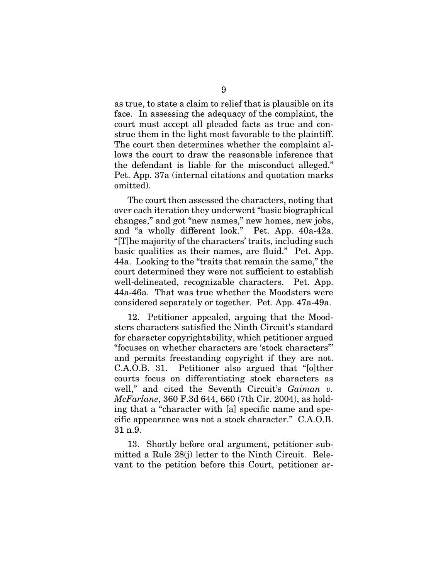as true, to state a claim to relief that is plausible on its face. In assessing the adequacy of the complaint, the court must accept all pleaded facts as true and construe them in the light most favorable to the plaintiff. The court then determines whether the complaint allows the court to draw the reasonable inference that the defendant is liable for the misconduct alleged." Pet. App. 37a (internal citations and quotation marks omitted).

The court then assessed the characters, noting that over each iteration they underwent "basic biographical changes," and got "new names," new homes, new jobs, and "a wholly different look." Pet. App. 40a-42a. "[T]he majority of the characters' traits, including such basic qualities as their names, are fluid." Pet. App. 44a. Looking to the "traits that remain the same," the court determined they were not sufficient to establish well-delineated, recognizable characters. Pet. App. 44a-46a. That was true whether the Moodsters were considered separately or together. Pet. App. 47a-49a.

12. Petitioner appealed, arguing that the Moodsters characters satisfied the Ninth Circuit's standard for character copyrightability, which petitioner argued "focuses on whether characters are 'stock characters'" and permits freestanding copyright if they are not. C.A.O.B. 31. Petitioner also argued that "[o]ther courts focus on differentiating stock characters as well," and cited the Seventh Circuit's *Gaiman v. McFarlane*, 360 F.3d 644, 660 (7th Cir. 2004), as holding that a "character with [a] specific name and specific appearance was not a stock character." C.A.O.B. 31 n.9.

13. Shortly before oral argument, petitioner submitted a Rule 28(j) letter to the Ninth Circuit. Relevant to the petition before this Court, petitioner ar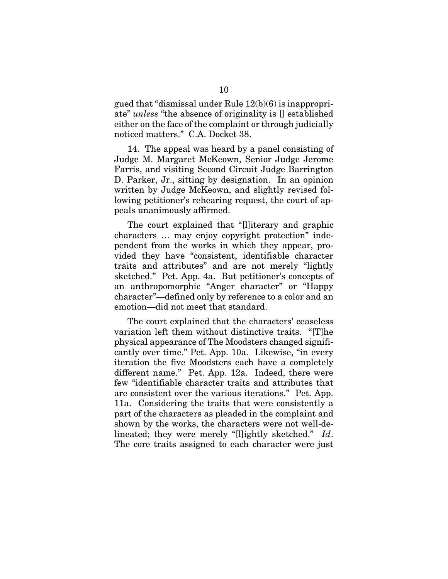gued that "dismissal under Rule 12(b)(6) is inappropriate" *unless* "the absence of originality is [] established either on the face of the complaint or through judicially noticed matters." C.A. Docket 38.

14. The appeal was heard by a panel consisting of Judge M. Margaret McKeown, Senior Judge Jerome Farris, and visiting Second Circuit Judge Barrington D. Parker, Jr., sitting by designation. In an opinion written by Judge McKeown, and slightly revised following petitioner's rehearing request, the court of appeals unanimously affirmed.

The court explained that "[l]iterary and graphic characters … may enjoy copyright protection" independent from the works in which they appear, provided they have "consistent, identifiable character traits and attributes" and are not merely "lightly sketched." Pet. App. 4a. But petitioner's concepts of an anthropomorphic "Anger character" or "Happy character"—defined only by reference to a color and an emotion—did not meet that standard.

The court explained that the characters' ceaseless variation left them without distinctive traits. "[T]he physical appearance of The Moodsters changed significantly over time." Pet. App. 10a. Likewise, "in every iteration the five Moodsters each have a completely different name." Pet. App. 12a. Indeed, there were few "identifiable character traits and attributes that are consistent over the various iterations." Pet. App. 11a. Considering the traits that were consistently a part of the characters as pleaded in the complaint and shown by the works, the characters were not well-delineated; they were merely "[l]ightly sketched." *Id*. The core traits assigned to each character were just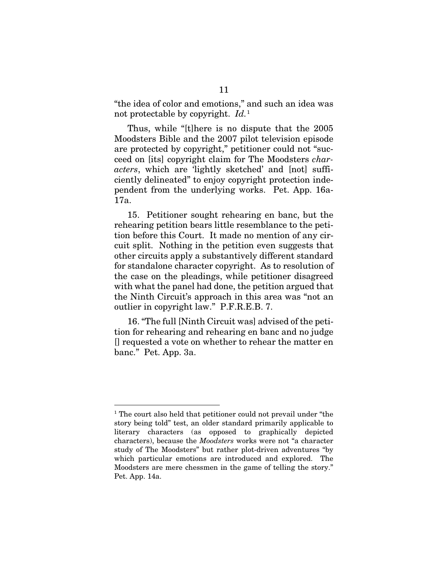"the idea of color and emotions," and such an idea was not protectable by copyright. *Id.*[1](#page-17-0)

Thus, while "[t]here is no dispute that the 2005 Moodsters Bible and the 2007 pilot television episode are protected by copyright," petitioner could not "succeed on [its] copyright claim for The Moodsters *characters*, which are 'lightly sketched' and [not] sufficiently delineated" to enjoy copyright protection independent from the underlying works. Pet. App. 16a-17a.

15. Petitioner sought rehearing en banc, but the rehearing petition bears little resemblance to the petition before this Court. It made no mention of any circuit split. Nothing in the petition even suggests that other circuits apply a substantively different standard for standalone character copyright. As to resolution of the case on the pleadings, while petitioner disagreed with what the panel had done, the petition argued that the Ninth Circuit's approach in this area was "not an outlier in copyright law." P.F.R.E.B. 7.

16. "The full [Ninth Circuit was] advised of the petition for rehearing and rehearing en banc and no judge [] requested a vote on whether to rehear the matter en banc." Pet. App. 3a.

<span id="page-17-0"></span> <sup>1</sup> The court also held that petitioner could not prevail under "the story being told" test, an older standard primarily applicable to literary characters (as opposed to graphically depicted characters), because the *Moodsters* works were not "a character study of The Moodsters" but rather plot-driven adventures "by which particular emotions are introduced and explored. The Moodsters are mere chessmen in the game of telling the story." Pet. App. 14a.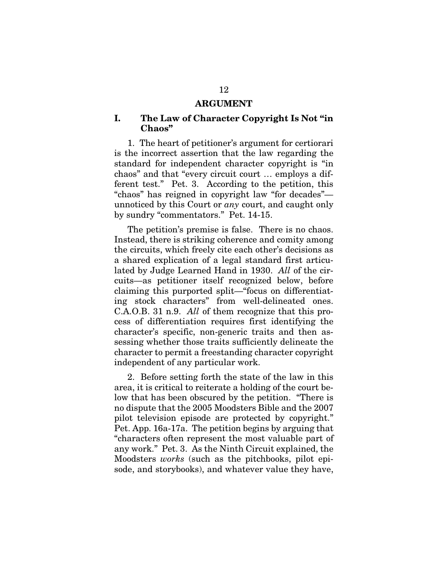#### ARGUMENT

### I. The Law of Character Copyright Is Not "in Chaos"

1. The heart of petitioner's argument for certiorari is the incorrect assertion that the law regarding the standard for independent character copyright is "in chaos" and that "every circuit court … employs a different test." Pet. 3. According to the petition, this "chaos" has reigned in copyright law "for decades" unnoticed by this Court or *any* court, and caught only by sundry "commentators." Pet. 14-15.

The petition's premise is false. There is no chaos. Instead, there is striking coherence and comity among the circuits, which freely cite each other's decisions as a shared explication of a legal standard first articulated by Judge Learned Hand in 1930. *All* of the circuits—as petitioner itself recognized below, before claiming this purported split—"focus on differentiating stock characters" from well-delineated ones. C.A.O.B. 31 n.9. *All* of them recognize that this process of differentiation requires first identifying the character's specific, non-generic traits and then assessing whether those traits sufficiently delineate the character to permit a freestanding character copyright independent of any particular work.

2. Before setting forth the state of the law in this area, it is critical to reiterate a holding of the court below that has been obscured by the petition. "There is no dispute that the 2005 Moodsters Bible and the 2007 pilot television episode are protected by copyright." Pet. App. 16a-17a. The petition begins by arguing that "characters often represent the most valuable part of any work." Pet. 3. As the Ninth Circuit explained, the Moodsters *works* (such as the pitchbooks, pilot episode, and storybooks), and whatever value they have,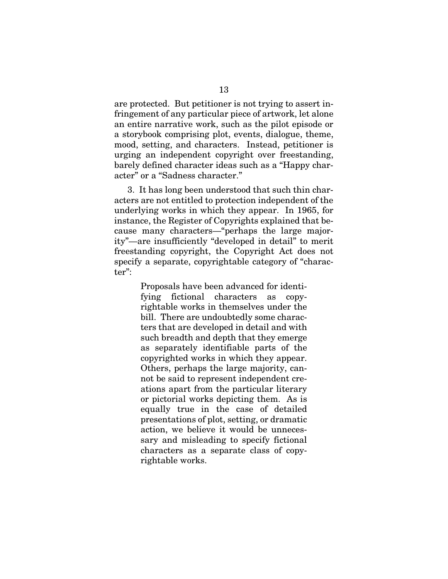are protected. But petitioner is not trying to assert infringement of any particular piece of artwork, let alone an entire narrative work, such as the pilot episode or a storybook comprising plot, events, dialogue, theme, mood, setting, and characters. Instead, petitioner is urging an independent copyright over freestanding, barely defined character ideas such as a "Happy character" or a "Sadness character."

3. It has long been understood that such thin characters are not entitled to protection independent of the underlying works in which they appear. In 1965, for instance, the Register of Copyrights explained that because many characters—"perhaps the large majority"—are insufficiently "developed in detail" to merit freestanding copyright, the Copyright Act does not specify a separate, copyrightable category of "character":

> Proposals have been advanced for identifying fictional characters as copyrightable works in themselves under the bill. There are undoubtedly some characters that are developed in detail and with such breadth and depth that they emerge as separately identifiable parts of the copyrighted works in which they appear. Others, perhaps the large majority, cannot be said to represent independent creations apart from the particular literary or pictorial works depicting them. As is equally true in the case of detailed presentations of plot, setting, or dramatic action, we believe it would be unnecessary and misleading to specify fictional characters as a separate class of copyrightable works.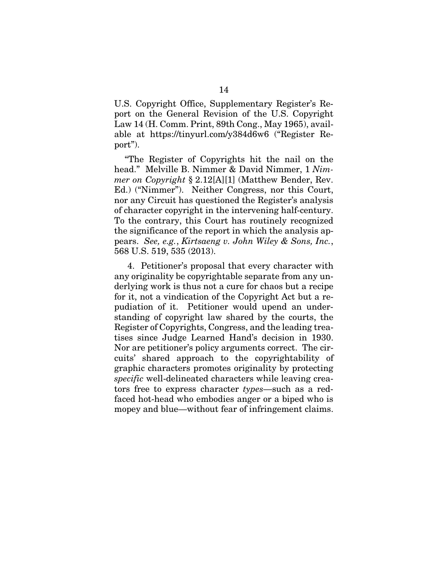U.S. Copyright Office, Supplementary Register's Report on the General Revision of the U.S. Copyright Law 14 (H. Comm. Print, 89th Cong., May 1965), available at https://tinyurl.com/y384d6w6 ("Register Report").

"The Register of Copyrights hit the nail on the head." Melville B. Nimmer & David Nimmer, 1 *Nimmer on Copyright* § 2.12[A][1] (Matthew Bender, Rev. Ed.) ("Nimmer"). Neither Congress, nor this Court, nor any Circuit has questioned the Register's analysis of character copyright in the intervening half-century. To the contrary, this Court has routinely recognized the significance of the report in which the analysis appears. *See, e.g.*, *Kirtsaeng v. John Wiley & Sons, Inc.*, 568 U.S. 519, 535 (2013).

4. Petitioner's proposal that every character with any originality be copyrightable separate from any underlying work is thus not a cure for chaos but a recipe for it, not a vindication of the Copyright Act but a repudiation of it. Petitioner would upend an understanding of copyright law shared by the courts, the Register of Copyrights, Congress, and the leading treatises since Judge Learned Hand's decision in 1930. Nor are petitioner's policy arguments correct. The circuits' shared approach to the copyrightability of graphic characters promotes originality by protecting *specific* well-delineated characters while leaving creators free to express character *types*—such as a redfaced hot-head who embodies anger or a biped who is mopey and blue—without fear of infringement claims.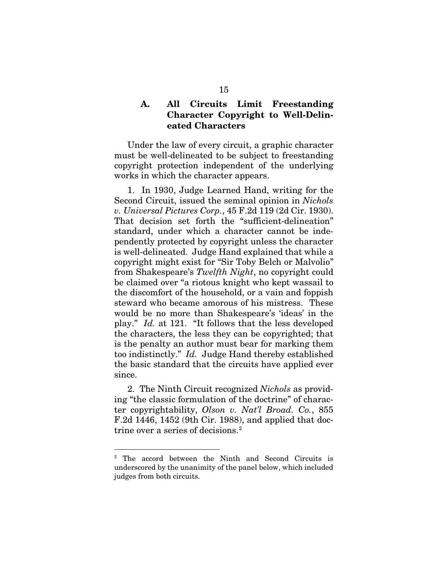### A. All Circuits Limit Freestanding Character Copyright to Well-Delineated Characters

Under the law of every circuit, a graphic character must be well-delineated to be subject to freestanding copyright protection independent of the underlying works in which the character appears.

1. In 1930, Judge Learned Hand, writing for the Second Circuit, issued the seminal opinion in *Nichols v. Universal Pictures Corp.*, 45 F.2d 119 (2d Cir. 1930). That decision set forth the "sufficient-delineation" standard, under which a character cannot be independently protected by copyright unless the character is well-delineated. Judge Hand explained that while a copyright might exist for "Sir Toby Belch or Malvolio" from Shakespeare's *Twelfth Night*, no copyright could be claimed over "a riotous knight who kept wassail to the discomfort of the household, or a vain and foppish steward who became amorous of his mistress. These would be no more than Shakespeare's 'ideas' in the play." *Id.* at 121. "It follows that the less developed the characters, the less they can be copyrighted; that is the penalty an author must bear for marking them too indistinctly." *Id.* Judge Hand thereby established the basic standard that the circuits have applied ever since.

2. The Ninth Circuit recognized *Nichols* as providing "the classic formulation of the doctrine" of character copyrightability, *Olson v. Nat'l Broad. Co.*, 855 F.2d 1446, 1452 (9th Cir. 1988), and applied that doc-trine over a series of decisions.<sup>[2](#page-21-0)</sup>

<span id="page-21-0"></span> <sup>2</sup> The accord between the Ninth and Second Circuits is underscored by the unanimity of the panel below, which included judges from both circuits.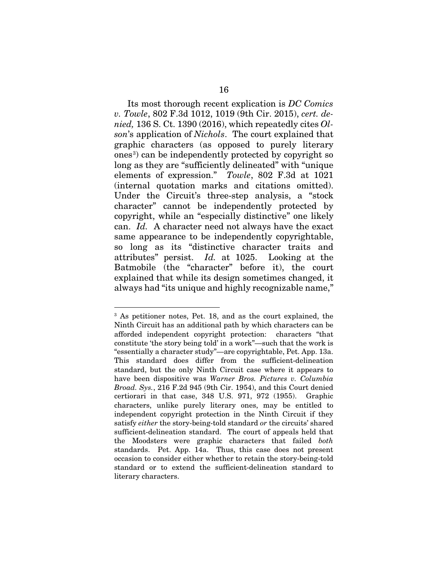Its most thorough recent explication is *DC Comics v. Towle*, 802 F.3d 1012, 1019 (9th Cir. 2015), *cert. denied,* 136 S. Ct. 1390 (2016), which repeatedly cites *Olson*'s application of *Nichols*. The court explained that graphic characters (as opposed to purely literary ones<sup>[3](#page-22-0)</sup>) can be independently protected by copyright so long as they are "sufficiently delineated" with "unique elements of expression." *Towle*, 802 F.3d at 1021 (internal quotation marks and citations omitted). Under the Circuit's three-step analysis, a "stock character" cannot be independently protected by copyright, while an "especially distinctive" one likely can. *Id.* A character need not always have the exact same appearance to be independently copyrightable, so long as its "distinctive character traits and attributes" persist. *Id.* at 1025. Looking at the Batmobile (the "character" before it), the court explained that while its design sometimes changed, it always had "its unique and highly recognizable name,"

<span id="page-22-0"></span> <sup>3</sup> As petitioner notes, Pet. 18, and as the court explained, the Ninth Circuit has an additional path by which characters can be afforded independent copyright protection: characters "that constitute 'the story being told' in a work"—such that the work is "essentially a character study"—are copyrightable, Pet. App. 13a. This standard does differ from the sufficient-delineation standard, but the only Ninth Circuit case where it appears to have been dispositive was *Warner Bros. Pictures v. Columbia Broad. Sys.*, 216 F.2d 945 (9th Cir. 1954), and this Court denied certiorari in that case, 348 U.S. 971, 972 (1955). Graphic characters, unlike purely literary ones, may be entitled to independent copyright protection in the Ninth Circuit if they satisfy *either* the story-being-told standard *or* the circuits' shared sufficient-delineation standard. The court of appeals held that the Moodsters were graphic characters that failed *both* standards. Pet. App. 14a. Thus, this case does not present occasion to consider either whether to retain the story-being-told standard or to extend the sufficient-delineation standard to literary characters.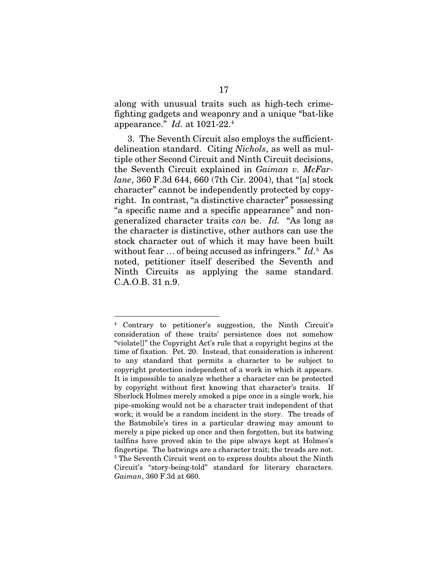along with unusual traits such as high-tech crimefighting gadgets and weaponry and a unique "bat-like appearance." *Id.* at 1021-22.[4](#page-23-0)

3. The Seventh Circuit also employs the sufficientdelineation standard. Citing *Nichols*, as well as multiple other Second Circuit and Ninth Circuit decisions, the Seventh Circuit explained in *Gaiman v. McFarlane*, 360 F.3d 644, 660 (7th Cir. 2004), that "[a] stock character" cannot be independently protected by copyright. In contrast, "a distinctive character" possessing "a specific name and a specific appearance" and nongeneralized character traits *can* be. *Id.* "As long as the character is distinctive, other authors can use the stock character out of which it may have been built without fear ... of being accused as infringers." Id.<sup>[5](#page-23-1)</sup> As noted, petitioner itself described the Seventh and Ninth Circuits as applying the same standard. C.A.O.B. 31 n.9.

<span id="page-23-1"></span><span id="page-23-0"></span> <sup>4</sup> Contrary to petitioner's suggestion, the Ninth Circuit's consideration of these traits' persistence does not somehow "violate[]" the Copyright Act's rule that a copyright begins at the time of fixation. Pet. 20. Instead, that consideration is inherent to any standard that permits a character to be subject to copyright protection independent of a work in which it appears. It is impossible to analyze whether a character can be protected by copyright without first knowing that character's traits. If Sherlock Holmes merely smoked a pipe once in a single work, his pipe-smoking would not be a character trait independent of that work; it would be a random incident in the story. The treads of the Batmobile's tires in a particular drawing may amount to merely a pipe picked up once and then forgotten, but its batwing tailfins have proved akin to the pipe always kept at Holmes's fingertips. The batwings are a character trait; the treads are not. <sup>5</sup> The Seventh Circuit went on to express doubts about the Ninth Circuit's "story-being-told" standard for literary characters. *Gaiman*, 360 F.3d at 660.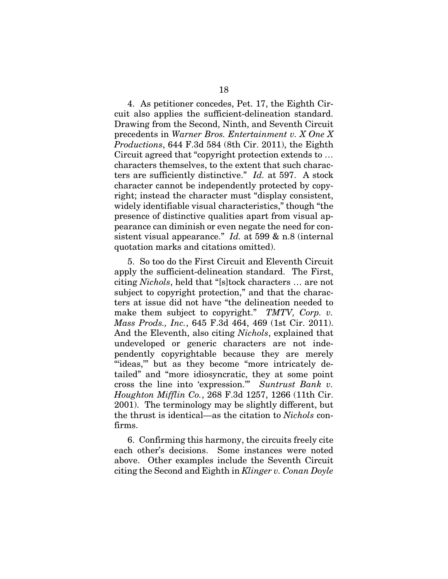4. As petitioner concedes, Pet. 17, the Eighth Circuit also applies the sufficient-delineation standard. Drawing from the Second, Ninth, and Seventh Circuit precedents in *Warner Bros. Entertainment v. X One X Productions*, 644 F.3d 584 (8th Cir. 2011), the Eighth Circuit agreed that "copyright protection extends to … characters themselves, to the extent that such characters are sufficiently distinctive." *Id.* at 597. A stock character cannot be independently protected by copyright; instead the character must "display consistent, widely identifiable visual characteristics," though "the presence of distinctive qualities apart from visual appearance can diminish or even negate the need for consistent visual appearance." *Id.* at 599 & n.8 (internal quotation marks and citations omitted).

5. So too do the First Circuit and Eleventh Circuit apply the sufficient-delineation standard. The First, citing *Nichols*, held that "[s]tock characters … are not subject to copyright protection," and that the characters at issue did not have "the delineation needed to make them subject to copyright." *TMTV, Corp. v. Mass Prods., Inc.*, 645 F.3d 464, 469 (1st Cir. 2011). And the Eleventh, also citing *Nichols*, explained that undeveloped or generic characters are not independently copyrightable because they are merely "ideas," but as they become "more intricately detailed" and "more idiosyncratic, they at some point cross the line into 'expression.'" *Suntrust Bank v. Houghton Mifflin Co.*, 268 F.3d 1257, 1266 (11th Cir. 2001). The terminology may be slightly different, but the thrust is identical—as the citation to *Nichols* confirms.

6. Confirming this harmony, the circuits freely cite each other's decisions. Some instances were noted above. Other examples include the Seventh Circuit citing the Second and Eighth in *Klinger v. Conan Doyle*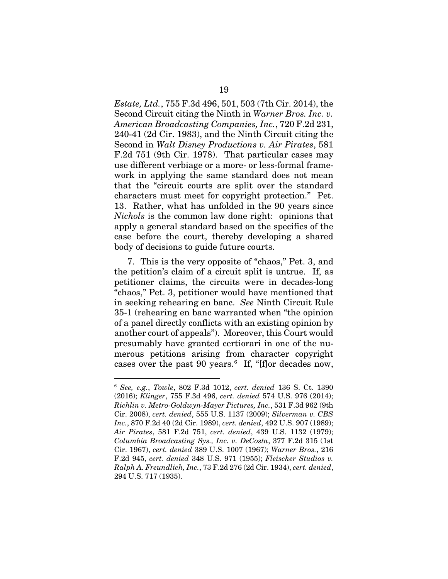*Estate, Ltd.*, 755 F.3d 496, 501, 503 (7th Cir. 2014), the Second Circuit citing the Ninth in *Warner Bros. Inc. v. American Broadcasting Companies, Inc.*, 720 F.2d 231, 240-41 (2d Cir. 1983), and the Ninth Circuit citing the Second in *Walt Disney Productions v. Air Pirates*, 581 F.2d 751 (9th Cir. 1978). That particular cases may use different verbiage or a more- or less-formal framework in applying the same standard does not mean that the "circuit courts are split over the standard characters must meet for copyright protection." Pet. 13. Rather, what has unfolded in the 90 years since *Nichols* is the common law done right: opinions that apply a general standard based on the specifics of the case before the court, thereby developing a shared body of decisions to guide future courts.

7. This is the very opposite of "chaos," Pet. 3, and the petition's claim of a circuit split is untrue. If, as petitioner claims, the circuits were in decades-long "chaos," Pet. 3, petitioner would have mentioned that in seeking rehearing en banc. *See* Ninth Circuit Rule 35-1 (rehearing en banc warranted when "the opinion of a panel directly conflicts with an existing opinion by another court of appeals"). Moreover, this Court would presumably have granted certiorari in one of the numerous petitions arising from character copyright cases over the past 90 years.<sup>[6](#page-25-0)</sup> If, "[f]or decades now,

<span id="page-25-0"></span> <sup>6</sup> *See, e.g.*, *Towle*, 802 F.3d 1012, *cert. denied* 136 S. Ct. 1390 (2016); *Klinger*, 755 F.3d 496, *cert. denied* 574 U.S. 976 (2014); *Richlin v. Metro-Goldwyn-Mayer Pictures, Inc.*, 531 F.3d 962 (9th Cir. 2008), *cert. denied*, 555 U.S. 1137 (2009); *Silverman v. CBS Inc.*, 870 F.2d 40 (2d Cir. 1989), *cert. denied*, 492 U.S. 907 (1989); *Air Pirates*, 581 F.2d 751, *cert. denied*, 439 U.S. 1132 (1979); *Columbia Broadcasting Sys., Inc. v. DeCosta*, 377 F.2d 315 (1st Cir. 1967), *cert. denied* 389 U.S. 1007 (1967); *Warner Bros.*, 216 F.2d 945, *cert. denied* 348 U.S. 971 (1955); *Fleischer Studios v. Ralph A. Freundlich, Inc.*, 73 F.2d 276 (2d Cir. 1934), *cert. denied*, 294 U.S. 717 (1935).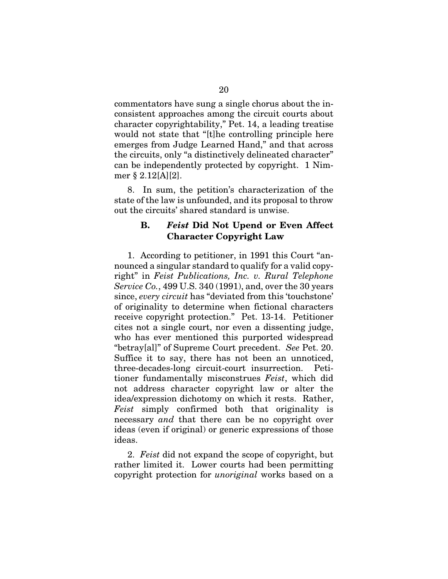commentators have sung a single chorus about the inconsistent approaches among the circuit courts about character copyrightability," Pet. 14, a leading treatise would not state that "[t]he controlling principle here emerges from Judge Learned Hand," and that across the circuits, only "a distinctively delineated character" can be independently protected by copyright. 1 Nimmer § 2.12[A][2].

8. In sum, the petition's characterization of the state of the law is unfounded, and its proposal to throw out the circuits' shared standard is unwise.

### B. *Feist* Did Not Upend or Even Affect Character Copyright Law

1. According to petitioner, in 1991 this Court "announced a singular standard to qualify for a valid copyright" in *Feist Publications, Inc. v. Rural Telephone Service Co.*, 499 U.S. 340 (1991), and, over the 30 years since, *every circuit* has "deviated from this 'touchstone' of originality to determine when fictional characters receive copyright protection." Pet. 13-14. Petitioner cites not a single court, nor even a dissenting judge, who has ever mentioned this purported widespread "betray[al]" of Supreme Court precedent. *See* Pet. 20. Suffice it to say, there has not been an unnoticed, three-decades-long circuit-court insurrection. Petitioner fundamentally misconstrues *Feist*, which did not address character copyright law or alter the idea/expression dichotomy on which it rests. Rather, *Feist* simply confirmed both that originality is necessary *and* that there can be no copyright over ideas (even if original) or generic expressions of those ideas.

2. *Feist* did not expand the scope of copyright, but rather limited it. Lower courts had been permitting copyright protection for *unoriginal* works based on a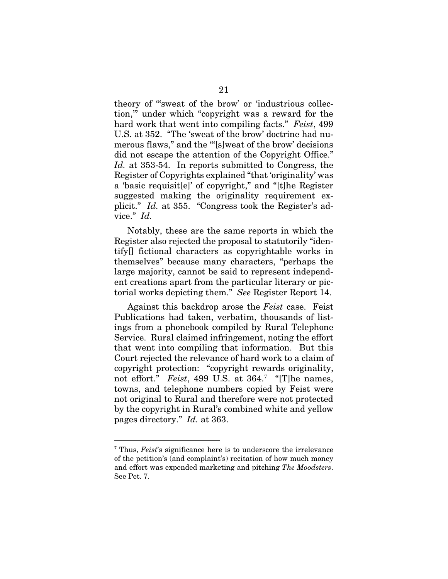theory of '"sweat of the brow' or 'industrious collection,'" under which "copyright was a reward for the hard work that went into compiling facts." *Feist*, 499 U.S. at 352. "The 'sweat of the brow' doctrine had numerous flaws," and the "'[s]weat of the brow' decisions did not escape the attention of the Copyright Office." *Id.* at 353-54. In reports submitted to Congress, the Register of Copyrights explained "that 'originality' was a 'basic requisit[e]' of copyright," and "[t]he Register suggested making the originality requirement explicit." *Id.* at 355. "Congress took the Register's advice." *Id.*

Notably, these are the same reports in which the Register also rejected the proposal to statutorily "identify[] fictional characters as copyrightable works in themselves" because many characters, "perhaps the large majority, cannot be said to represent independent creations apart from the particular literary or pictorial works depicting them." *See* Register Report 14.

Against this backdrop arose the *Feist* case. Feist Publications had taken, verbatim, thousands of listings from a phonebook compiled by Rural Telephone Service. Rural claimed infringement, noting the effort that went into compiling that information. But this Court rejected the relevance of hard work to a claim of copyright protection: "copyright rewards originality, not effort." *Feist*, 499 U.S. at 364.<sup>[7](#page-27-0)</sup> "[T]he names, towns, and telephone numbers copied by Feist were not original to Rural and therefore were not protected by the copyright in Rural's combined white and yellow pages directory." *Id.* at 363.

<span id="page-27-0"></span> <sup>7</sup> Thus, *Feist*'s significance here is to underscore the irrelevance of the petition's (and complaint's) recitation of how much money and effort was expended marketing and pitching *The Moodsters*. See Pet. 7.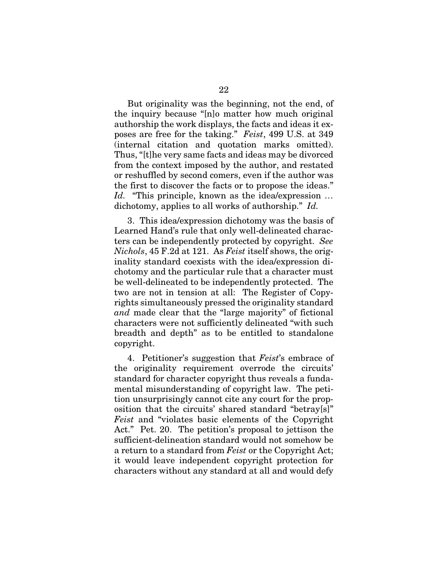But originality was the beginning, not the end, of the inquiry because "[n]o matter how much original authorship the work displays, the facts and ideas it exposes are free for the taking." *Feist*, 499 U.S. at 349 (internal citation and quotation marks omitted). Thus, "[t]he very same facts and ideas may be divorced from the context imposed by the author, and restated or reshuffled by second comers, even if the author was the first to discover the facts or to propose the ideas." *Id.* "This principle, known as the idea/expression … dichotomy, applies to all works of authorship." *Id.*

3. This idea/expression dichotomy was the basis of Learned Hand's rule that only well-delineated characters can be independently protected by copyright. *See Nichols*, 45 F.2d at 121. As *Feist* itself shows, the originality standard coexists with the idea/expression dichotomy and the particular rule that a character must be well-delineated to be independently protected. The two are not in tension at all: The Register of Copyrights simultaneously pressed the originality standard *and* made clear that the "large majority" of fictional characters were not sufficiently delineated "with such breadth and depth" as to be entitled to standalone copyright.

4. Petitioner's suggestion that *Feist*'s embrace of the originality requirement overrode the circuits' standard for character copyright thus reveals a fundamental misunderstanding of copyright law. The petition unsurprisingly cannot cite any court for the proposition that the circuits' shared standard "betray[s]" *Feist* and "violates basic elements of the Copyright Act." Pet. 20. The petition's proposal to jettison the sufficient-delineation standard would not somehow be a return to a standard from *Feist* or the Copyright Act; it would leave independent copyright protection for characters without any standard at all and would defy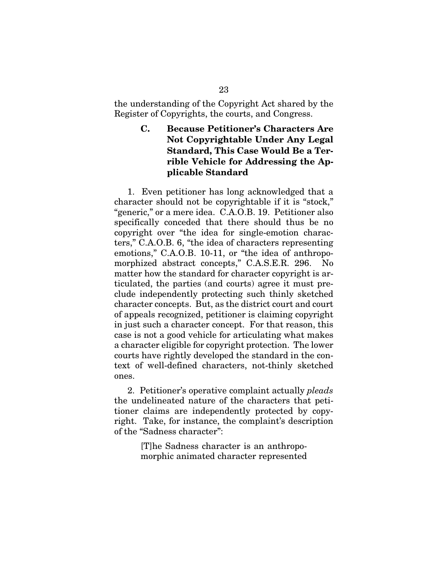the understanding of the Copyright Act shared by the Register of Copyrights, the courts, and Congress.

## C. Because Petitioner's Characters Are Not Copyrightable Under Any Legal Standard, This Case Would Be a Terrible Vehicle for Addressing the Applicable Standard

1. Even petitioner has long acknowledged that a character should not be copyrightable if it is "stock," "generic," or a mere idea. C.A.O.B. 19. Petitioner also specifically conceded that there should thus be no copyright over "the idea for single-emotion characters," C.A.O.B. 6, "the idea of characters representing emotions," C.A.O.B. 10-11, or "the idea of anthropomorphized abstract concepts," C.A.S.E.R. 296. No matter how the standard for character copyright is articulated, the parties (and courts) agree it must preclude independently protecting such thinly sketched character concepts. But, as the district court and court of appeals recognized, petitioner is claiming copyright in just such a character concept. For that reason, this case is not a good vehicle for articulating what makes a character eligible for copyright protection. The lower courts have rightly developed the standard in the context of well-defined characters, not-thinly sketched ones.

2. Petitioner's operative complaint actually *pleads*  the undelineated nature of the characters that petitioner claims are independently protected by copyright. Take, for instance, the complaint's description of the "Sadness character":

> [T]he Sadness character is an anthropomorphic animated character represented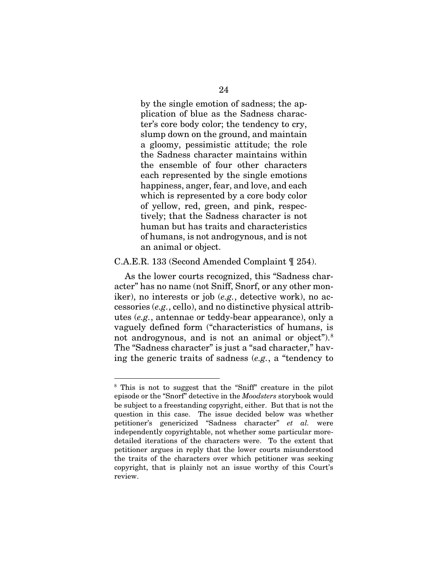by the single emotion of sadness; the application of blue as the Sadness character's core body color; the tendency to cry, slump down on the ground, and maintain a gloomy, pessimistic attitude; the role the Sadness character maintains within the ensemble of four other characters each represented by the single emotions happiness, anger, fear, and love, and each which is represented by a core body color of yellow, red, green, and pink, respectively; that the Sadness character is not human but has traits and characteristics of humans, is not androgynous, and is not an animal or object.

#### C.A.E.R. 133 (Second Amended Complaint ¶ 254).

As the lower courts recognized, this "Sadness character" has no name (not Sniff, Snorf, or any other moniker), no interests or job (*e.g.*, detective work), no accessories (*e.g.*, cello), and no distinctive physical attributes (*e.g.*, antennae or teddy-bear appearance), only a vaguely defined form ("characteristics of humans, is not androgynous, and is not an animal or object").<sup>[8](#page-30-0)</sup> The "Sadness character" is just a "sad character," having the generic traits of sadness (*e.g.*, a "tendency to

<span id="page-30-0"></span> <sup>8</sup> This is not to suggest that the "Sniff" creature in the pilot episode or the "Snorf" detective in the *Moodsters* storybook would be subject to a freestanding copyright, either. But that is not the question in this case. The issue decided below was whether petitioner's genericized "Sadness character" *et al.* were independently copyrightable, not whether some particular moredetailed iterations of the characters were. To the extent that petitioner argues in reply that the lower courts misunderstood the traits of the characters over which petitioner was seeking copyright, that is plainly not an issue worthy of this Court's review.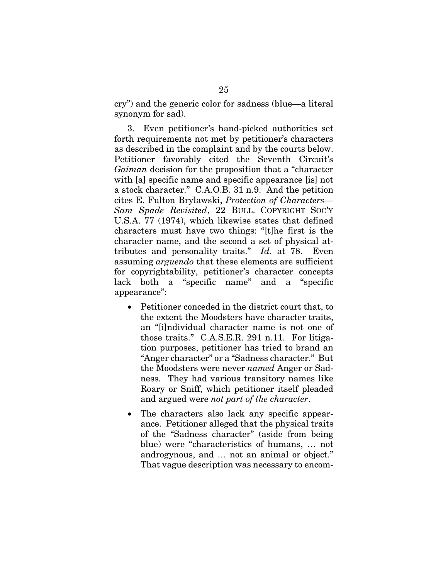cry") and the generic color for sadness (blue—a literal synonym for sad).

3. Even petitioner's hand-picked authorities set forth requirements not met by petitioner's characters as described in the complaint and by the courts below. Petitioner favorably cited the Seventh Circuit's *Gaiman* decision for the proposition that a "character with [a] specific name and specific appearance [is] not a stock character." C.A.O.B. 31 n.9. And the petition cites E. Fulton Brylawski, *Protection of Characters— Sam Spade Revisited*, 22 BULL. COPYRIGHT SOC'Y U.S.A. 77 (1974), which likewise states that defined characters must have two things: "[t]he first is the character name, and the second a set of physical attributes and personality traits." *Id.* at 78. Even assuming *arguendo* that these elements are sufficient for copyrightability, petitioner's character concepts lack both a "specific name" and a "specific appearance":

- Petitioner conceded in the district court that, to the extent the Moodsters have character traits, an "[i]ndividual character name is not one of those traits." C.A.S.E.R. 291 n.11. For litigation purposes, petitioner has tried to brand an "Anger character" or a "Sadness character." But the Moodsters were never *named* Anger or Sadness. They had various transitory names like Roary or Sniff, which petitioner itself pleaded and argued were *not part of the character*.
- The characters also lack any specific appearance. Petitioner alleged that the physical traits of the "Sadness character" (aside from being blue) were "characteristics of humans, … not androgynous, and … not an animal or object." That vague description was necessary to encom-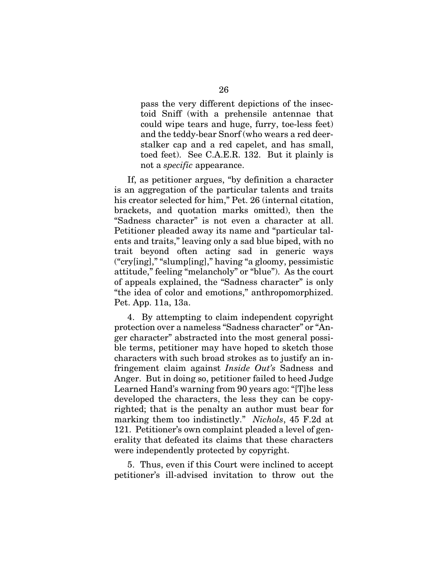pass the very different depictions of the insectoid Sniff (with a prehensile antennae that could wipe tears and huge, furry, toe-less feet) and the teddy-bear Snorf (who wears a red deerstalker cap and a red capelet, and has small, toed feet). See C.A.E.R. 132. But it plainly is not a *specific* appearance.

If, as petitioner argues, "by definition a character is an aggregation of the particular talents and traits his creator selected for him," Pet. 26 (internal citation, brackets, and quotation marks omitted), then the "Sadness character" is not even a character at all. Petitioner pleaded away its name and "particular talents and traits," leaving only a sad blue biped, with no trait beyond often acting sad in generic ways ("cry[ing]," "slump[ing]," having "a gloomy, pessimistic attitude," feeling "melancholy" or "blue"). As the court of appeals explained, the "Sadness character" is only "the idea of color and emotions," anthropomorphized. Pet. App. 11a, 13a.

4. By attempting to claim independent copyright protection over a nameless "Sadness character" or "Anger character" abstracted into the most general possible terms, petitioner may have hoped to sketch those characters with such broad strokes as to justify an infringement claim against *Inside Out's* Sadness and Anger. But in doing so, petitioner failed to heed Judge Learned Hand's warning from 90 years ago: "[T]he less developed the characters, the less they can be copyrighted; that is the penalty an author must bear for marking them too indistinctly." *Nichols*, 45 F.2d at 121. Petitioner's own complaint pleaded a level of generality that defeated its claims that these characters were independently protected by copyright.

5. Thus, even if this Court were inclined to accept petitioner's ill-advised invitation to throw out the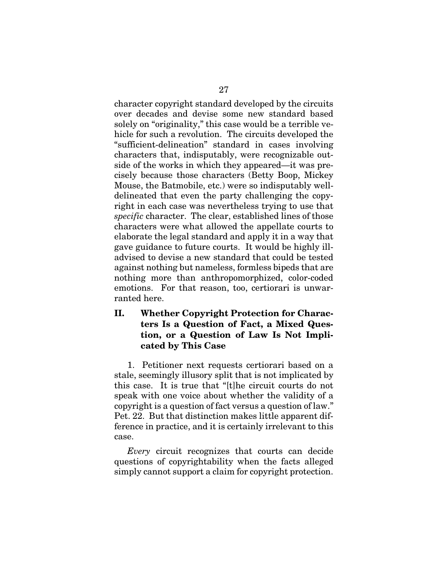character copyright standard developed by the circuits over decades and devise some new standard based solely on "originality," this case would be a terrible vehicle for such a revolution. The circuits developed the "sufficient-delineation" standard in cases involving characters that, indisputably, were recognizable outside of the works in which they appeared—it was precisely because those characters (Betty Boop, Mickey Mouse, the Batmobile, etc.) were so indisputably welldelineated that even the party challenging the copyright in each case was nevertheless trying to use that *specific* character. The clear, established lines of those characters were what allowed the appellate courts to elaborate the legal standard and apply it in a way that gave guidance to future courts. It would be highly illadvised to devise a new standard that could be tested against nothing but nameless, formless bipeds that are nothing more than anthropomorphized, color-coded emotions. For that reason, too, certiorari is unwarranted here.

## II. Whether Copyright Protection for Characters Is a Question of Fact, a Mixed Question, or a Question of Law Is Not Implicated by This Case

1. Petitioner next requests certiorari based on a stale, seemingly illusory split that is not implicated by this case. It is true that "[t]he circuit courts do not speak with one voice about whether the validity of a copyright is a question of fact versus a question of law." Pet. 22. But that distinction makes little apparent difference in practice, and it is certainly irrelevant to this case.

*Every* circuit recognizes that courts can decide questions of copyrightability when the facts alleged simply cannot support a claim for copyright protection.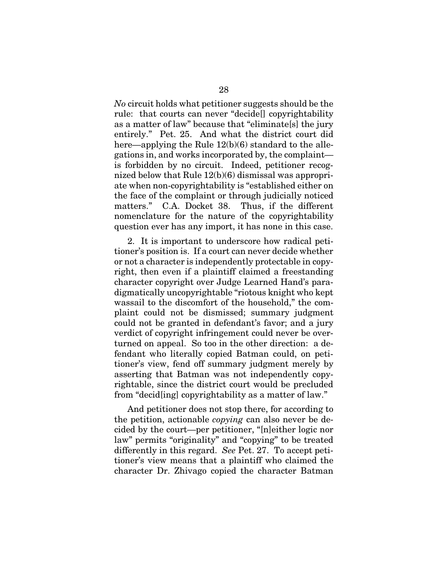*No* circuit holds what petitioner suggests should be the rule: that courts can never "decide[] copyrightability as a matter of law" because that "eliminate[s] the jury entirely." Pet. 25. And what the district court did here—applying the Rule 12(b)(6) standard to the allegations in, and works incorporated by, the complaint is forbidden by no circuit. Indeed, petitioner recognized below that Rule 12(b)(6) dismissal was appropriate when non-copyrightability is "established either on the face of the complaint or through judicially noticed matters." C.A. Docket 38. Thus, if the different nomenclature for the nature of the copyrightability question ever has any import, it has none in this case.

2. It is important to underscore how radical petitioner's position is. If a court can never decide whether or not a character is independently protectable in copyright, then even if a plaintiff claimed a freestanding character copyright over Judge Learned Hand's paradigmatically uncopyrightable "riotous knight who kept wassail to the discomfort of the household," the complaint could not be dismissed; summary judgment could not be granted in defendant's favor; and a jury verdict of copyright infringement could never be overturned on appeal. So too in the other direction: a defendant who literally copied Batman could, on petitioner's view, fend off summary judgment merely by asserting that Batman was not independently copyrightable, since the district court would be precluded from "decid[ing] copyrightability as a matter of law."

And petitioner does not stop there, for according to the petition, actionable *copying* can also never be decided by the court—per petitioner, "[n]either logic nor law" permits "originality" and "copying" to be treated differently in this regard. *See* Pet. 27. To accept petitioner's view means that a plaintiff who claimed the character Dr. Zhivago copied the character Batman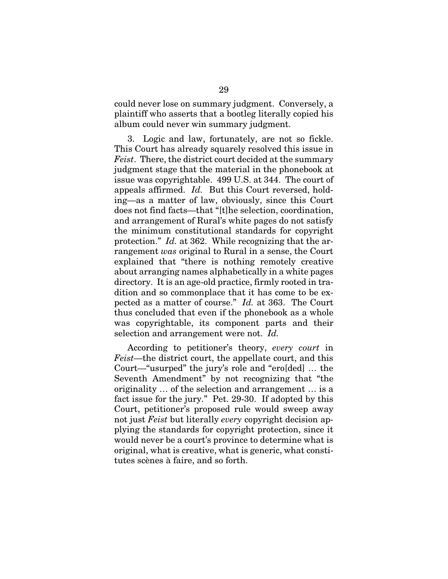could never lose on summary judgment. Conversely, a plaintiff who asserts that a bootleg literally copied his album could never win summary judgment.

3. Logic and law, fortunately, are not so fickle. This Court has already squarely resolved this issue in *Feist*. There, the district court decided at the summary judgment stage that the material in the phonebook at issue was copyrightable. 499 U.S. at 344. The court of appeals affirmed. *Id.* But this Court reversed, holding—as a matter of law, obviously, since this Court does not find facts—that "[t]he selection, coordination, and arrangement of Rural's white pages do not satisfy the minimum constitutional standards for copyright protection." *Id.* at 362. While recognizing that the arrangement *was* original to Rural in a sense, the Court explained that "there is nothing remotely creative about arranging names alphabetically in a white pages directory. It is an age-old practice, firmly rooted in tradition and so commonplace that it has come to be expected as a matter of course." *Id.* at 363. The Court thus concluded that even if the phonebook as a whole was copyrightable, its component parts and their selection and arrangement were not. *Id.*

According to petitioner's theory, *every court* in *Feist*—the district court, the appellate court, and this Court—"usurped" the jury's role and "ero[ded] … the Seventh Amendment" by not recognizing that "the originality … of the selection and arrangement … is a fact issue for the jury." Pet. 29-30. If adopted by this Court, petitioner's proposed rule would sweep away not just *Feist* but literally *every* copyright decision applying the standards for copyright protection, since it would never be a court's province to determine what is original, what is creative, what is generic, what constitutes scènes à faire, and so forth.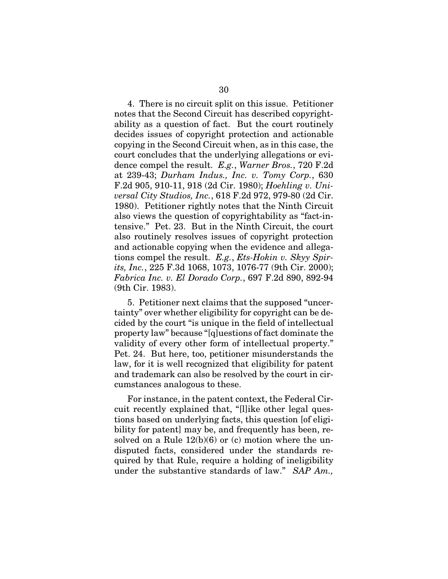4. There is no circuit split on this issue. Petitioner notes that the Second Circuit has described copyrightability as a question of fact. But the court routinely decides issues of copyright protection and actionable copying in the Second Circuit when, as in this case, the court concludes that the underlying allegations or evidence compel the result. *E.g.*, *Warner Bros.*, 720 F.2d at 239-43; *Durham Indus., Inc. v. Tomy Corp.*, 630 F.2d 905, 910-11, 918 (2d Cir. 1980); *Hoehling v. Universal City Studios, Inc.*, 618 F.2d 972, 979-80 (2d Cir. 1980). Petitioner rightly notes that the Ninth Circuit also views the question of copyrightability as "fact-intensive." Pet. 23. But in the Ninth Circuit, the court also routinely resolves issues of copyright protection and actionable copying when the evidence and allegations compel the result. *E.g.*, *Ets-Hokin v. Skyy Spirits, Inc.*, 225 F.3d 1068, 1073, 1076-77 (9th Cir. 2000); *Fabrica Inc. v. El Dorado Corp.*, 697 F.2d 890, 892-94 (9th Cir. 1983).

5. Petitioner next claims that the supposed "uncertainty" over whether eligibility for copyright can be decided by the court "is unique in the field of intellectual property law" because "[q]uestions of fact dominate the validity of every other form of intellectual property." Pet. 24. But here, too, petitioner misunderstands the law, for it is well recognized that eligibility for patent and trademark can also be resolved by the court in circumstances analogous to these.

For instance, in the patent context, the Federal Circuit recently explained that, "[l]ike other legal questions based on underlying facts, this question [of eligibility for patent] may be, and frequently has been, resolved on a Rule  $12(b)(6)$  or (c) motion where the undisputed facts, considered under the standards required by that Rule, require a holding of ineligibility under the substantive standards of law." *SAP Am.,*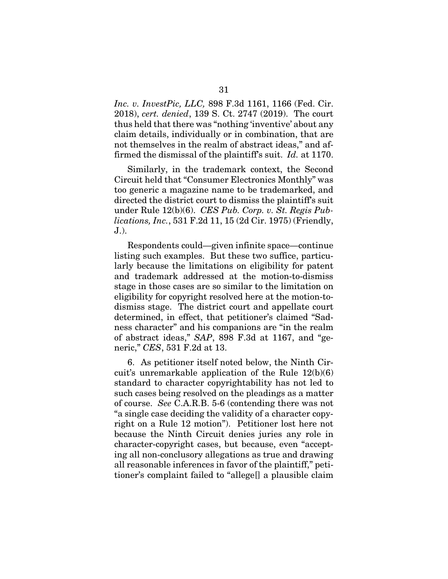*Inc. v. InvestPic, LLC,* 898 F.3d 1161, 1166 (Fed. Cir. 2018), *cert. denied*, 139 S. Ct. 2747 (2019). The court thus held that there was "nothing 'inventive' about any claim details, individually or in combination, that are not themselves in the realm of abstract ideas," and affirmed the dismissal of the plaintiff's suit. *Id.* at 1170.

Similarly, in the trademark context, the Second Circuit held that "Consumer Electronics Monthly" was too generic a magazine name to be trademarked, and directed the district court to dismiss the plaintiff's suit under Rule 12(b)(6). *CES Pub. Corp. v. St. Regis Publications, Inc.*, 531 F.2d 11, 15 (2d Cir. 1975) (Friendly, J.).

Respondents could—given infinite space—continue listing such examples. But these two suffice, particularly because the limitations on eligibility for patent and trademark addressed at the motion-to-dismiss stage in those cases are so similar to the limitation on eligibility for copyright resolved here at the motion-todismiss stage. The district court and appellate court determined, in effect, that petitioner's claimed "Sadness character" and his companions are "in the realm of abstract ideas," *SAP*, 898 F.3d at 1167, and "generic," *CES*, 531 F.2d at 13.

6. As petitioner itself noted below, the Ninth Circuit's unremarkable application of the Rule 12(b)(6) standard to character copyrightability has not led to such cases being resolved on the pleadings as a matter of course. *See* C.A.R.B. 5-6 (contending there was not "a single case deciding the validity of a character copyright on a Rule 12 motion"). Petitioner lost here not because the Ninth Circuit denies juries any role in character-copyright cases, but because, even "accepting all non-conclusory allegations as true and drawing all reasonable inferences in favor of the plaintiff," petitioner's complaint failed to "allege[] a plausible claim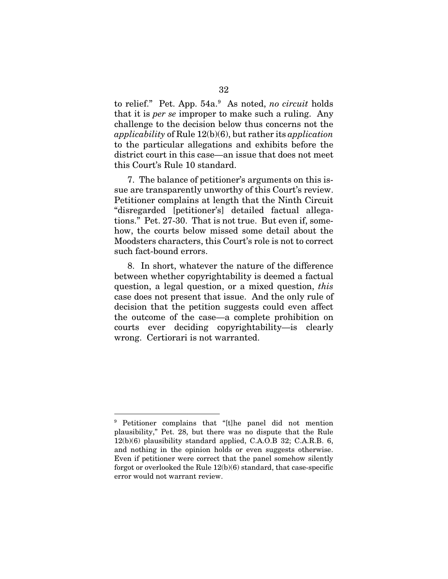to relief." Pet. App. 54a.<sup>[9](#page-38-0)</sup> As noted, *no circuit* holds that it is *per se* improper to make such a ruling. Any challenge to the decision below thus concerns not the *applicability* of Rule 12(b)(6), but rather its *application* to the particular allegations and exhibits before the district court in this case—an issue that does not meet this Court's Rule 10 standard.

7. The balance of petitioner's arguments on this issue are transparently unworthy of this Court's review. Petitioner complains at length that the Ninth Circuit "disregarded [petitioner's] detailed factual allegations." Pet. 27-30. That is not true. But even if, somehow, the courts below missed some detail about the Moodsters characters, this Court's role is not to correct such fact-bound errors.

8. In short, whatever the nature of the difference between whether copyrightability is deemed a factual question, a legal question, or a mixed question, *this* case does not present that issue. And the only rule of decision that the petition suggests could even affect the outcome of the case—a complete prohibition on courts ever deciding copyrightability—is clearly wrong. Certiorari is not warranted.

<span id="page-38-0"></span> <sup>9</sup> Petitioner complains that "[t]he panel did not mention plausibility," Pet. 28, but there was no dispute that the Rule 12(b)(6) plausibility standard applied, C.A.O.B 32; C.A.R.B. 6, and nothing in the opinion holds or even suggests otherwise. Even if petitioner were correct that the panel somehow silently forgot or overlooked the Rule 12(b)(6) standard, that case-specific error would not warrant review.